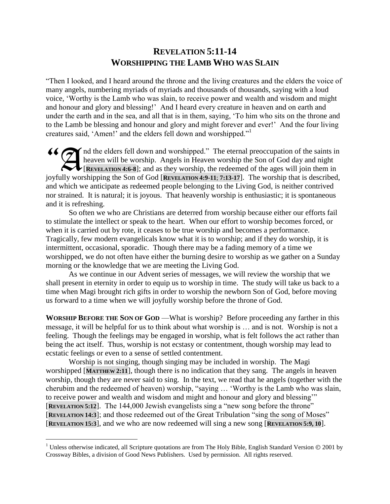## **REVELATION 5:11-14 WORSHIPPING THE LAMB WHO WAS SLAIN**

"Then I looked, and I heard around the throne and the living creatures and the elders the voice of many angels, numbering myriads of myriads and thousands of thousands, saying with a loud voice, "Worthy is the Lamb who was slain, to receive power and wealth and wisdom and might and honour and glory and blessing!" And I heard every creature in heaven and on earth and under the earth and in the sea, and all that is in them, saying, "To him who sits on the throne and to the Lamb be blessing and honour and glory and might forever and ever!" And the four living creatures said, "Amen!" and the elders fell down and worshipped."<sup>1</sup>

nd the elders fell down and worshipped." The eternal preoccupation of the saints in heaven will be worship. Angels in Heaven worship the Son of God day and night **EVELATION 4:6-8**]; and as they worship, the redeemed of the ages will join them in joyfully worshipping the Son of God [**REVELATION 4:9-11**; **7:13-17**]. The worship that is described, and which we anticipate as redeemed people belonging to the Living God, is neither contrived nor strained. It is natural; it is joyous. That heavenly worship is enthusiastic; it is spontaneous and it is refreshing.

So often we who are Christians are deterred from worship because either our efforts fail to stimulate the intellect or speak to the heart. When our effort to worship becomes forced, or when it is carried out by rote, it ceases to be true worship and becomes a performance. Tragically, few modern evangelicals know what it is to worship; and if they do worship, it is intermittent, occasional, sporadic. Though there may be a fading memory of a time we worshipped, we do not often have either the burning desire to worship as we gather on a Sunday morning or the knowledge that we are meeting the Living God.

As we continue in our Advent series of messages, we will review the worship that we shall present in eternity in order to equip us to worship in time. The study will take us back to a time when Magi brought rich gifts in order to worship the newborn Son of God, before moving us forward to a time when we will joyfully worship before the throne of God.

**WORSHIP BEFORE THE SON OF GOD** —What is worship? Before proceeding any farther in this message, it will be helpful for us to think about what worship is … and is not. Worship is not a feeling. Though the feelings may be engaged in worship, what is felt follows the act rather than being the act itself. Thus, worship is not ecstasy or contentment, though worship may lead to ecstatic feelings or even to a sense of settled contentment.

Worship is not singing, though singing may be included in worship. The Magi worshipped [**MATTHEW 2:11**], though there is no indication that they sang. The angels in heaven worship, though they are never said to sing. In the text, we read that he angels (together with the cherubim and the redeemed of heaven) worship, "saying … "Worthy is the Lamb who was slain, to receive power and wealth and wisdom and might and honour and glory and blessing"" [**REVELATION 5:12**]. The 144,000 Jewish evangelists sing a "new song before the throne" [**REVELATION 14:3**]; and those redeemed out of the Great Tribulation "sing the song of Moses" [**REVELATION 15:3**], and we who are now redeemed will sing a new song [**REVELATION 5:9, 10**].

 $\overline{a}$ 

<sup>&</sup>lt;sup>1</sup> Unless otherwise indicated, all Scripture quotations are from The Holy Bible, English Standard Version  $© 2001$  by Crossway Bibles, a division of Good News Publishers. Used by permission. All rights reserved.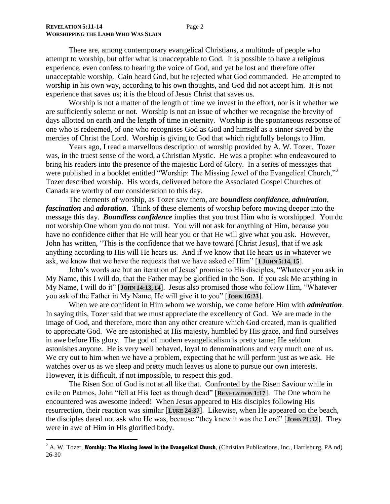$\overline{a}$ 

There are, among contemporary evangelical Christians, a multitude of people who attempt to worship, but offer what is unacceptable to God. It is possible to have a religious experience, even confess to hearing the voice of God, and yet be lost and therefore offer unacceptable worship. Cain heard God, but he rejected what God commanded. He attempted to worship in his own way, according to his own thoughts, and God did not accept him. It is not experience that saves us; it is the blood of Jesus Christ that saves us.

Worship is not a matter of the length of time we invest in the effort, nor is it whether we are sufficiently solemn or not. Worship is not an issue of whether we recognise the brevity of days allotted on earth and the length of time in eternity. Worship is the spontaneous response of one who is redeemed, of one who recognises God as God and himself as a sinner saved by the mercies of Christ the Lord. Worship is giving to God that which rightfully belongs to Him.

Years ago, I read a marvellous description of worship provided by A. W. Tozer. Tozer was, in the truest sense of the word, a Christian Mystic. He was a prophet who endeavoured to bring his readers into the presence of the majestic Lord of Glory. In a series of messages that were published in a booklet entitled "Worship: The Missing Jewel of the Evangelical Church,"<sup>2</sup> Tozer described worship. His words, delivered before the Associated Gospel Churches of Canada are worthy of our consideration to this day.

The elements of worship, as Tozer saw them, are *boundless confidence*, *admiration*, *fascination* and *adoration*. Think of these elements of worship before moving deeper into the message this day. *Boundless confidence* implies that you trust Him who is worshipped. You do not worship One whom you do not trust. You will not ask for anything of Him, because you have no confidence either that He will hear you or that He will give what you ask. However, John has written, "This is the confidence that we have toward [Christ Jesus], that if we ask anything according to His will He hears us. And if we know that He hears us in whatever we ask, we know that we have the requests that we have asked of Him" [**1 JOHN 5:14, 15**].

John"s words are but an iteration of Jesus" promise to His disciples, "Whatever you ask in My Name, this I will do, that the Father may be glorified in the Son. If you ask Me anything in My Name, I will do it" [**JOHN 14:13, 14**]. Jesus also promised those who follow Him, "Whatever you ask of the Father in My Name, He will give it to you" [**JOHN 16:23**].

When we are confident in Him whom we worship, we come before Him with *admiration*. In saying this, Tozer said that we must appreciate the excellency of God. We are made in the image of God, and therefore, more than any other creature which God created, man is qualified to appreciate God. We are astonished at His majesty, humbled by His grace, and find ourselves in awe before His glory. The god of modern evangelicalism is pretty tame; He seldom astonishes anyone. He is very well behaved, loyal to denominations and very much one of us. We cry out to him when we have a problem, expecting that he will perform just as we ask. He watches over us as we sleep and pretty much leaves us alone to pursue our own interests. However, it is difficult, if not impossible, to respect this god.

The Risen Son of God is not at all like that. Confronted by the Risen Saviour while in exile on Patmos, John "fell at His feet as though dead" [**REVELATION 1:17**]. The One whom he encountered was awesome indeed! When Jesus appeared to His disciples following His resurrection, their reaction was similar [**LUKE 24:37**]. Likewise, when He appeared on the beach, the disciples dared not ask who He was, because "they knew it was the Lord" [**JOHN 21:12**]. They were in awe of Him in His glorified body.

<sup>&</sup>lt;sup>2</sup> A. W. Tozer, **Worship: The Missing Jewel in the Evangelical Church**, (Christian Publications, Inc., Harrisburg, PA nd) 26-30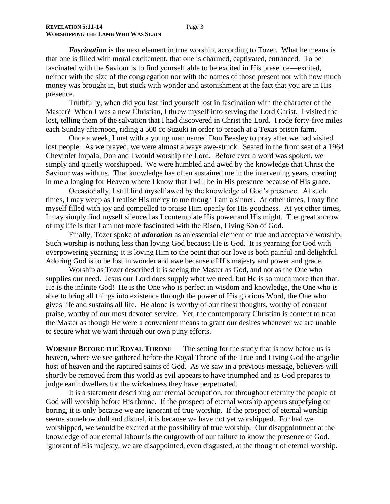*Fascination* is the next element in true worship, according to Tozer. What he means is that one is filled with moral excitement, that one is charmed, captivated, entranced. To be fascinated with the Saviour is to find yourself able to be excited in His presence—excited, neither with the size of the congregation nor with the names of those present nor with how much money was brought in, but stuck with wonder and astonishment at the fact that you are in His presence.

Truthfully, when did you last find yourself lost in fascination with the character of the Master? When I was a new Christian, I threw myself into serving the Lord Christ. I visited the lost, telling them of the salvation that I had discovered in Christ the Lord. I rode forty-five miles each Sunday afternoon, riding a 500 cc Suzuki in order to preach at a Texas prison farm.

Once a week, I met with a young man named Don Beasley to pray after we had visited lost people. As we prayed, we were almost always awe-struck. Seated in the front seat of a 1964 Chevrolet Impala, Don and I would worship the Lord. Before ever a word was spoken, we simply and quietly worshipped. We were humbled and awed by the knowledge that Christ the Saviour was with us. That knowledge has often sustained me in the intervening years, creating in me a longing for Heaven where I know that I will be in His presence because of His grace.

Occasionally, I still find myself awed by the knowledge of God"s presence. At such times, I may weep as I realise His mercy to me though I am a sinner. At other times, I may find myself filled with joy and compelled to praise Him openly for His goodness. At yet other times, I may simply find myself silenced as I contemplate His power and His might. The great sorrow of my life is that I am not more fascinated with the Risen, Living Son of God.

Finally, Tozer spoke of *adoration* as an essential element of true and acceptable worship. Such worship is nothing less than loving God because He is God. It is yearning for God with overpowering yearning; it is loving Him to the point that our love is both painful and delightful. Adoring God is to be lost in wonder and awe because of His majesty and power and grace.

Worship as Tozer described it is seeing the Master as God, and not as the One who supplies our need. Jesus our Lord does supply what we need, but He is so much more than that. He is the infinite God! He is the One who is perfect in wisdom and knowledge, the One who is able to bring all things into existence through the power of His glorious Word, the One who gives life and sustains all life. He alone is worthy of our finest thoughts, worthy of constant praise, worthy of our most devoted service. Yet, the contemporary Christian is content to treat the Master as though He were a convenient means to grant our desires whenever we are unable to secure what we want through our own puny efforts.

**WORSHIP BEFORE THE ROYAL THRONE** — The setting for the study that is now before us is heaven, where we see gathered before the Royal Throne of the True and Living God the angelic host of heaven and the raptured saints of God. As we saw in a previous message, believers will shortly be removed from this world as evil appears to have triumphed and as God prepares to judge earth dwellers for the wickedness they have perpetuated.

It is a statement describing our eternal occupation, for throughout eternity the people of God will worship before His throne. If the prospect of eternal worship appears stupefying or boring, it is only because we are ignorant of true worship. If the prospect of eternal worship seems somehow dull and dismal, it is because we have not yet worshipped. For had we worshipped, we would be excited at the possibility of true worship. Our disappointment at the knowledge of our eternal labour is the outgrowth of our failure to know the presence of God. Ignorant of His majesty, we are disappointed, even disgusted, at the thought of eternal worship.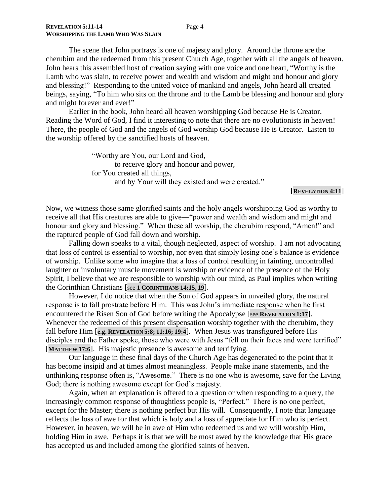The scene that John portrays is one of majesty and glory. Around the throne are the cherubim and the redeemed from this present Church Age, together with all the angels of heaven. John hears this assembled host of creation saying with one voice and one heart, "Worthy is the Lamb who was slain, to receive power and wealth and wisdom and might and honour and glory and blessing!" Responding to the united voice of mankind and angels, John heard all created beings, saying, "To him who sits on the throne and to the Lamb be blessing and honour and glory and might forever and ever!"

Earlier in the book, John heard all heaven worshipping God because He is Creator. Reading the Word of God, I find it interesting to note that there are no evolutionists in heaven! There, the people of God and the angels of God worship God because He is Creator. Listen to the worship offered by the sanctified hosts of heaven.

> "Worthy are You, our Lord and God, to receive glory and honour and power, for You created all things, and by Your will they existed and were created."

## [**REVELATION 4:11**]

Now, we witness those same glorified saints and the holy angels worshipping God as worthy to receive all that His creatures are able to give—"power and wealth and wisdom and might and honour and glory and blessing." When these all worship, the cherubim respond, "Amen!" and the raptured people of God fall down and worship.

Falling down speaks to a vital, though neglected, aspect of worship. I am not advocating that loss of control is essential to worship, nor even that simply losing one"s balance is evidence of worship. Unlike some who imagine that a loss of control resulting in fainting, uncontrolled laughter or involuntary muscle movement is worship or evidence of the presence of the Holy Spirit, I believe that we are responsible to worship with our mind, as Paul implies when writing the Corinthian Christians [see **1 CORINTHIANS 14:15, 19**].

However, I do notice that when the Son of God appears in unveiled glory, the natural response is to fall prostrate before Him. This was John"s immediate response when he first encountered the Risen Son of God before writing the Apocalypse [see **REVELATION 1:17**]. Whenever the redeemed of this present dispensation worship together with the cherubim, they fall before Him [**e.g. REVELATION 5:8; 11:16; 19:4**]. When Jesus was transfigured before His disciples and the Father spoke, those who were with Jesus "fell on their faces and were terrified" [**MATTHEW 17:6**]. His majestic presence is awesome and terrifying.

Our language in these final days of the Church Age has degenerated to the point that it has become insipid and at times almost meaningless. People make inane statements, and the unthinking response often is, "Awesome." There is no one who is awesome, save for the Living God; there is nothing awesome except for God's majesty.

Again, when an explanation is offered to a question or when responding to a query, the increasingly common response of thoughtless people is, "Perfect." There is no one perfect, except for the Master; there is nothing perfect but His will. Consequently, I note that language reflects the loss of awe for that which is holy and a loss of appreciate for Him who is perfect. However, in heaven, we will be in awe of Him who redeemed us and we will worship Him, holding Him in awe. Perhaps it is that we will be most awed by the knowledge that His grace has accepted us and included among the glorified saints of heaven.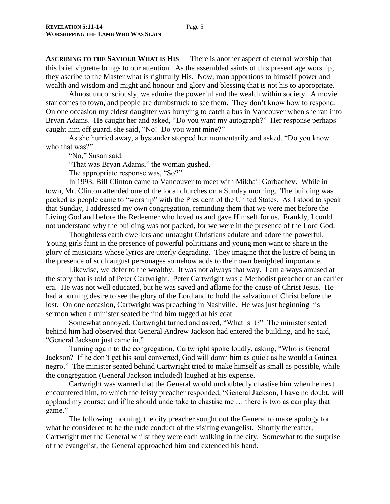**ASCRIBING TO THE SAVIOUR WHAT IS HIS** — There is another aspect of eternal worship that this brief vignette brings to our attention. As the assembled saints of this present age worship, they ascribe to the Master what is rightfully His. Now, man apportions to himself power and wealth and wisdom and might and honour and glory and blessing that is not his to appropriate.

Almost unconsciously, we admire the powerful and the wealth within society. A movie star comes to town, and people are dumbstruck to see them. They don"t know how to respond. On one occasion my eldest daughter was hurrying to catch a bus in Vancouver when she ran into Bryan Adams. He caught her and asked, "Do you want my autograph?" Her response perhaps caught him off guard, she said, "No! Do you want mine?"

As she hurried away, a bystander stopped her momentarily and asked, "Do you know who that was?"

"No," Susan said.

"That was Bryan Adams," the woman gushed.

The appropriate response was, "So?"

In 1993, Bill Clinton came to Vancouver to meet with Mikhail Gorbachev. While in town, Mr. Clinton attended one of the local churches on a Sunday morning. The building was packed as people came to "worship" with the President of the United States. As I stood to speak that Sunday, I addressed my own congregation, reminding them that we were met before the Living God and before the Redeemer who loved us and gave Himself for us. Frankly, I could not understand why the building was not packed, for we were in the presence of the Lord God.

Thoughtless earth dwellers and untaught Christians adulate and adore the powerful. Young girls faint in the presence of powerful politicians and young men want to share in the glory of musicians whose lyrics are utterly degrading. They imagine that the lustre of being in the presence of such august personages somehow adds to their own benighted importance.

Likewise, we defer to the wealthy. It was not always that way. I am always amused at the story that is told of Peter Cartwright. Peter Cartwright was a Methodist preacher of an earlier era. He was not well educated, but he was saved and aflame for the cause of Christ Jesus. He had a burning desire to see the glory of the Lord and to hold the salvation of Christ before the lost. On one occasion, Cartwright was preaching in Nashville. He was just beginning his sermon when a minister seated behind him tugged at his coat.

Somewhat annoyed, Cartwright turned and asked, "What is it?" The minister seated behind him had observed that General Andrew Jackson had entered the building, and he said, "General Jackson just came in."

Turning again to the congregation, Cartwright spoke loudly, asking, "Who is General Jackson? If he don"t get his soul converted, God will damn him as quick as he would a Guinea negro." The minister seated behind Cartwright tried to make himself as small as possible, while the congregation (General Jackson included) laughed at his expense.

Cartwright was warned that the General would undoubtedly chastise him when he next encountered him, to which the feisty preacher responded, "General Jackson, I have no doubt, will applaud my course; and if he should undertake to chastise me … there is two as can play that game."

The following morning, the city preacher sought out the General to make apology for what he considered to be the rude conduct of the visiting evangelist. Shortly thereafter, Cartwright met the General whilst they were each walking in the city. Somewhat to the surprise of the evangelist, the General approached him and extended his hand.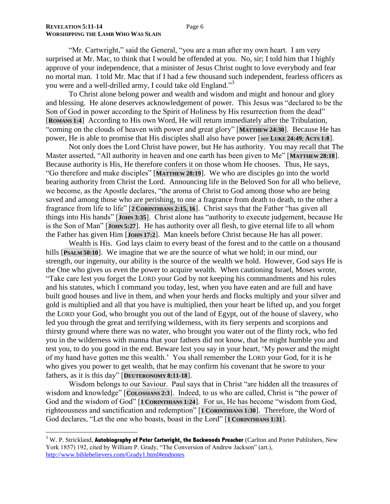$\overline{a}$ 

"Mr. Cartwright," said the General, "you are a man after my own heart. I am very surprised at Mr. Mac, to think that I would be offended at you. No, sir; I told him that I highly approve of your independence, that a minister of Jesus Christ ought to love everybody and fear no mortal man. I told Mr. Mac that if I had a few thousand such independent, fearless officers as you were and a well-drilled army, I could take old England."<sup>3</sup>

To Christ alone belong power and wealth and wisdom and might and honour and glory and blessing. He alone deserves acknowledgement of power. This Jesus was "declared to be the Son of God in power according to the Spirit of Holiness by His resurrection from the dead" [**ROMANS 1:4**] According to His own Word, He will return immediately after the Tribulation, "coming on the clouds of heaven with power and great glory" [**MATTHEW 24:30**]. Because He has power, He is able to promise that His disciples shall also have power [see **LUKE 24:49**; **ACTS 1:8**].

Not only does the Lord Christ have power, but He has authority. You may recall that The Master asserted, "All authority in heaven and one earth has been given to Me" [**MATTHEW 28:18**]. Because authority is His, He therefore confers it on those whom He chooses. Thus, He says, "Go therefore and make disciples" [**MATTHEW 28:19**]. We who are disciples go into the world bearing authority from Christ the Lord. Announcing life in the Beloved Son for all who believe, we become, as the Apostle declares, "the aroma of Christ to God among those who are being saved and among those who are perishing, to one a fragrance from death to death, to the other a fragrance from life to life" [**2 CORINTHIANS 2:15, 16**]. Christ says that the Father "has given all things into His hands" [**JOHN 3:35**]. Christ alone has "authority to execute judgement, because He is the Son of Man" [**JOHN 5:27**]. He has authority over all flesh, to give eternal life to all whom the Father has given Him [**JOHN 17:2**]. Man kneels before Christ because He has all power.

Wealth is His. God lays claim to every beast of the forest and to the cattle on a thousand hills [**PSALM 50:10**]. We imagine that we are the source of what we hold; in our mind, our strength, our ingenuity, our ability is the source of the wealth we hold. However, God says He is the One who gives us even the power to acquire wealth. When cautioning Israel, Moses wrote, "Take care lest you forget the LORD your God by not keeping his commandments and his rules and his statutes, which I command you today, lest, when you have eaten and are full and have built good houses and live in them, and when your herds and flocks multiply and your silver and gold is multiplied and all that you have is multiplied, then your heart be lifted up, and you forget the LORD your God, who brought you out of the land of Egypt, out of the house of slavery, who led you through the great and terrifying wilderness, with its fiery serpents and scorpions and thirsty ground where there was no water, who brought you water out of the flinty rock, who fed you in the wilderness with manna that your fathers did not know, that he might humble you and test you, to do you good in the end. Beware lest you say in your heart, "My power and the might of my hand have gotten me this wealth." You shall remember the LORD your God, for it is he who gives you power to get wealth, that he may confirm his covenant that he swore to your fathers, as it is this day" [**DEUTERONOMY 8:11-18**].

Wisdom belongs to our Saviour. Paul says that in Christ "are hidden all the treasures of wisdom and knowledge" [COLOSSIANS 2:3]. Indeed, to us who are called, Christ is "the power of God and the wisdom of God" [1 **CORINTHIANS 1:24**]. For us, He has become "wisdom from God, righteousness and sanctification and redemption" [**1 CORINTHIANS 1:30**]. Therefore, the Word of God declares, "Let the one who boasts, boast in the Lord" [**1 CORINTHIANS 1:31**].

<sup>3</sup> W. P. Strickland, **Autobiography of Peter Cartwright, the Backwoods Preacher** (Carlton and Porter Publishers, New York 1857) 192, cited by William P. Grady, "The Conversion of Andrew Jackson" (art.), <http://www.biblebelievers.com/Grady1.html#endnotes>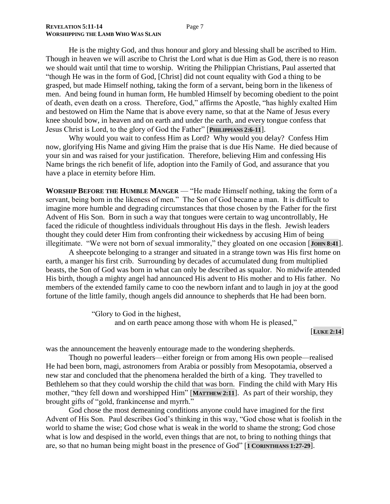He is the mighty God, and thus honour and glory and blessing shall be ascribed to Him. Though in heaven we will ascribe to Christ the Lord what is due Him as God, there is no reason we should wait until that time to worship. Writing the Philippian Christians, Paul asserted that "though He was in the form of God, [Christ] did not count equality with God a thing to be grasped, but made Himself nothing, taking the form of a servant, being born in the likeness of men. And being found in human form, He humbled Himself by becoming obedient to the point of death, even death on a cross. Therefore, God," affirms the Apostle, "has highly exalted Him and bestowed on Him the Name that is above every name, so that at the Name of Jesus every knee should bow, in heaven and on earth and under the earth, and every tongue confess that Jesus Christ is Lord, to the glory of God the Father" [**PHILIPPIANS 2:6-11**].

Why would you wait to confess Him as Lord? Why would you delay? Confess Him now, glorifying His Name and giving Him the praise that is due His Name. He died because of your sin and was raised for your justification. Therefore, believing Him and confessing His Name brings the rich benefit of life, adoption into the Family of God, and assurance that you have a place in eternity before Him.

**WORSHIP BEFORE THE HUMBLE MANGER** — "He made Himself nothing, taking the form of a servant, being born in the likeness of men." The Son of God became a man. It is difficult to imagine more humble and degrading circumstances that those chosen by the Father for the first Advent of His Son. Born in such a way that tongues were certain to wag uncontrollably, He faced the ridicule of thoughtless individuals throughout His days in the flesh. Jewish leaders thought they could deter Him from confronting their wickedness by accusing Him of being illegitimate. "We were not born of sexual immorality," they gloated on one occasion [John 8:41].

A sheepcote belonging to a stranger and situated in a strange town was His first home on earth, a manger his first crib. Surrounding by decades of accumulated dung from multiplied beasts, the Son of God was born in what can only be described as squalor. No midwife attended His birth, though a mighty angel had announced His advent to His mother and to His father. No members of the extended family came to coo the newborn infant and to laugh in joy at the good fortune of the little family, though angels did announce to shepherds that He had been born.

> "Glory to God in the highest, and on earth peace among those with whom He is pleased,"

> > [**LUKE 2:14**]

was the announcement the heavenly entourage made to the wondering shepherds.

Though no powerful leaders—either foreign or from among His own people—realised He had been born, magi, astronomers from Arabia or possibly from Mesopotamia, observed a new star and concluded that the phenomena heralded the birth of a king. They travelled to Bethlehem so that they could worship the child that was born. Finding the child with Mary His mother, "they fell down and worshipped Him" [**MATTHEW 2:11**]. As part of their worship, they brought gifts of "gold, frankincense and myrrh."

God chose the most demeaning conditions anyone could have imagined for the first Advent of His Son. Paul describes God"s thinking in this way, "God chose what is foolish in the world to shame the wise; God chose what is weak in the world to shame the strong; God chose what is low and despised in the world, even things that are not, to bring to nothing things that are, so that no human being might boast in the presence of God" [**1 CORINTHIANS 1:27-29**].